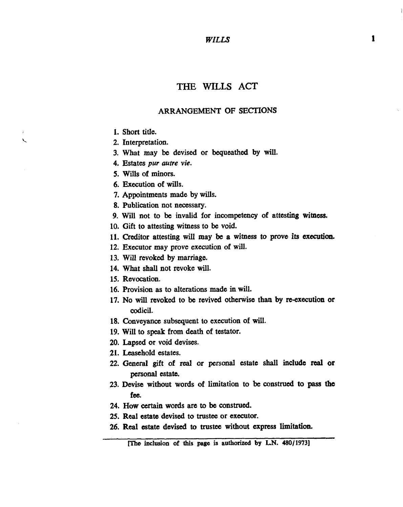# **THE WILLS ACT**

### ARRANGEMENT **OF SECTIONS**

- **1. Short** title.
- **2.** Interpretation.
- 3. What may be devised or **bequeathed** by **will.**
- **4.** Estates pur *autre vie.*
- **5. wills** of **minors.**
- **6.** Execution of **wills.**
- **7.** Appointments made by **wills.**
- **8.** Publication not **necessary.**
- **9. Will** not to **be** invalid for incompetency of attesting **witness.**
- **10.** Gift to attesting witness to be void.
- **11.** Creditor attesting will may **be a wimess** to prove its **execution.**
- **12.** Executor may prove execution of **will.**
- 13. **Will** revoked by marriage.
- **14.** What shall not revoke will.
- **15.** Revocation.
- **16.** Provision **as** to alterations made in **will.**
- **17. No** will revoked to be revived otherwise than by re-cxecution or **codicil.**
- **18.** Conveyance subsequent to execution of will.
- **19. Will to speak** from death of testator.
- **20.** Lapsed or void devises.
- **21.** Leasehold estates.
- **22.** General gift *of* real or personal estate shall include **real** or personal estate.
- **23.** Devise without **words** of limitation to be **Construed to pass the**  fee.
- **24. How** certain **words** are to **be construed.**
- **25. Real** estate devised to trustee or executor.
- **26. Real** estate devised **to trustee** without express limitation.

<sup>[</sup>The **inclusion of this page is authorized by LN. 480/1973]**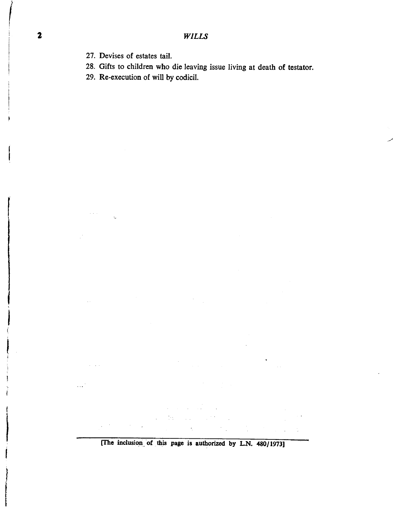- **2** *WILLS*<br>
27. Devises of estates tail.
	- **28. Gifts to children who die leaving issue living at death of testator.**
	- **29. Re-execution of will by codicil.**

*i* 

!<br>!<br>!

 $\ddotsc$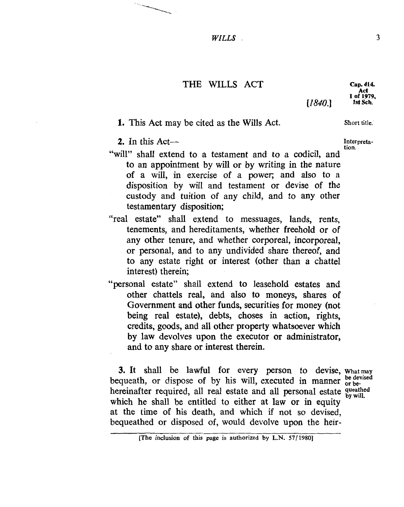## THE **WILLS** ACT **Cap. 414.**

**Act**<br>1 of 1979, **<sup>1</sup>of 1979,** *[Z840.]* **1st Sch.** 

**1.** This Act may be cited as the Wills Act. Short title.

Ioterpreta- **2.** In this Act- **tion.** 

- "will" shall extend to a testament and to a codicil, and to an appointment by will or by writing in the nature of a will, in exercise of a power; and also to a disposition **by** will and testament or devise of the custody and tuition of any child, and to any other testamentary disposition;
- "real estate" shall extend to messuages, lands, rents, tenements, and hereditaments, whether freehold or **of**  any other tenure, and whether corporeal, incorporeal, or personal, and to any undivided share thereof, and to any estate right or interest (other than a chattel interest) therein;
- "personal estate" shall extend to leasehold estates and other chattels real, and also to moneys, shares **of**  Government and other funds, securities for money (not being real estate), debts, choses in action, rights, credits, goods, and all other property whatsoever which by law devolves upon the executor or administrator, and to any share or interest therein.

**3.** It shall be lawful for every person to devise, Whatmay bequeath, or dispose of by his will, executed in manner be devised hereinafter required, all real estate and all personal estate queathed which he shall be entitled to either at law or in equity at the time of his death, and which if not so devised, bequeathed or disposed of, would devolve upon the heir-

[The inclusion **of** this page **is** authorized **by L.N. 57/1980]**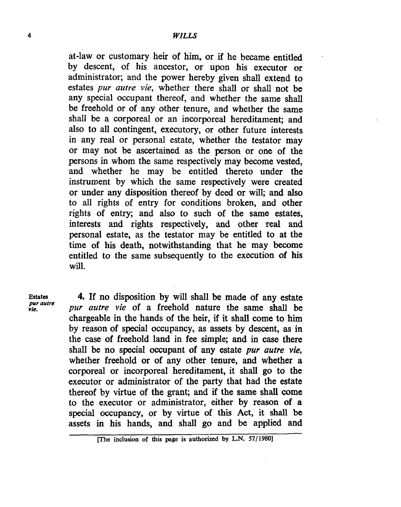at-law or customary heir of him, or if he became entitled by descent, **of** his ancestor, or upon his executor or administrator; and the power hereby given shall extend to estates *pur autre vie,* whether there shall or shall not be any special occupant thereof, and whether the same shall be freehold or of any other tenure, and whether the same shall be a corporeal or an incorporeal hereditament; and also to all contingent, executory, or other future interests in any real or personal estate, whether the testator may or may not be ascertained as the person or one **of** the persons in whom the same respectively may become vested, and whether he may be entitled thereto under the instrument by which the same respectively were created or under any disposition thereof by deed or will; and **also**  to all rights of entry for conditions broken, and other rights of entry; and also to such of the same estates, interests and rights respectively, and other real and personal estate, as the testator may be entitled to at the time of his death, notwithstanding that he may become entitled to the same subsequently to the execution **of his**  will.

*pnr autre vie.* 

**Estates 4.** If no disposition by will shall be made of any estate *pur autre vie* of a freehold nature the same shall be chargeable in the hands of the heir, if it shall come to him by reason **of** special occupancy, as assets by descent, **as in**  the case of freehold land in fee simple; and in case there shall be no special occupant of any estate *pur autre vie,*  whether freehold or of any other tenure, and whether a corporeal or incorporeal hereditament, it shall **go** to the executor or administrator of the party that had the estate thereof by virtue of the grant; and if the same shall come to the executor or administrator, either by reason **of** a special occupancy, or by virtue of this Act, it shall be assets in his hands, and shall go and be applied and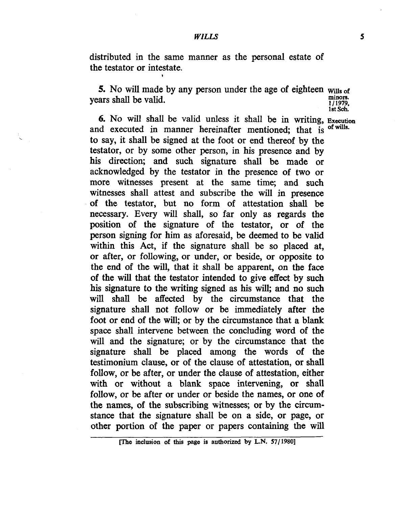distributed in the same manner as the personal estate of the testator or intestate. **<sup>I</sup>**

**5.** No will made by any person under the age of eighteen **wusof minors. 1** / **1979.**  years shall be valid.

**1st Sah.** 

**6.** No will shall be valid unless it shall be in writing, Execution and executed in manner hereinafter mentioned: that is <sup>of wills.</sup> to say, it shall be signed at the foot or end thereof by the testator, or by some other person, in his presence and by his direction; and such signature shall be made or acknowledged by the testator in the presence of two or more witnesses present at the same time; and such witnesses shall attest and subscribe the will in presence of the testator, but no form of attestation shall be necessary. Every will shall, so far only as regards the position of the signature of the testator, or of the person signing for him as aforesaid, be deemed to be valid within this Act, if the signature shall be so placed at, or after, or following, or under, or beside, or opposite to the end of the will, that it shall be apparent, on the face of the will that the testator intended to give effect by such his signature to the writing signed as **his** will, and no such will shall be affected by the circumstance that the signature shall not follow or be immediately after the foot or end of the **will;** or by the circumstance that a blank space shall intervene between the concluding word of the will and the signature; or by the circumstance that the signature shall be placed among the words of the testimonium clause, or of the clause of attestation, or shall follow, or be after, or under the clause of attestation, either with or without a blank space intervening, or shall follow, or be after or under or beside the names, or one of the names, of the subscribing witnesses; or by the circumstance that the signature shall be on a side, or page, or other portion of the paper or papers containing the will

**me inclusion of this page is authorized by L.N. 57/1980]**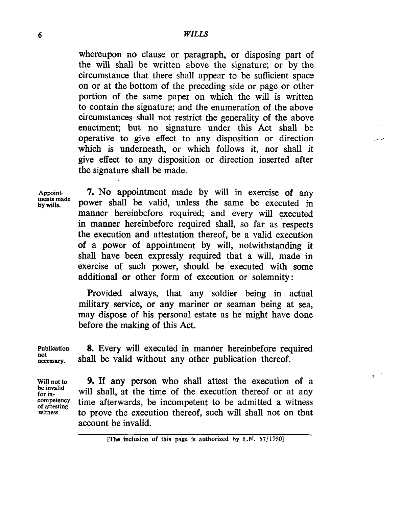whereupon no clause or paragraph, or disposing part of the will shall be written above the signature; or by the circumstance that there shall appear to be sufficient spacc on or at the bottom of the preceding side or page or other portion of the same paper on which the will is written to contain the signature; and the enumeration of the above circumstances shall not restrict the generality of the above enactment; but no signature under this Act shall be operative to give effect to any disposition or direction which is underneath, or which follows it, nor shall it give effect to any disposition or direction inserted after the signature shall be made.

**Appointments made by** wills.

**7.** No appointment made by will in exercise of any power shall be valid, unless the same be executed in manner hereinbefore required; and every will executed in manner hereinbefore required shall, so far as respects the execution and attestation thereof, be a valid execution of a power of appointment by will, notwithstanding it shall have been expressly required that a will, made **in**  exercise of such power, should be executed with some additional or other form of execution or solemnity:

Provided always, that any soldier being in actual military service, or any mariner or seaman being at sea, may dispose of his personal estate as he might have done before the making of this Act.

**Publication not necessary. 8.** Every will executed in manner hereinbefore required shall be valid without any other publication thereof.

**Will not to be invalid for incompetency of attesting witness.** 

**9. If** any person who shall attest the execution **of** a will shall, at the time of the execution thereof or at any time afterwards, be incompetent to be admitted a witness to prove the execution thereof, such will shall not on that account be invalid.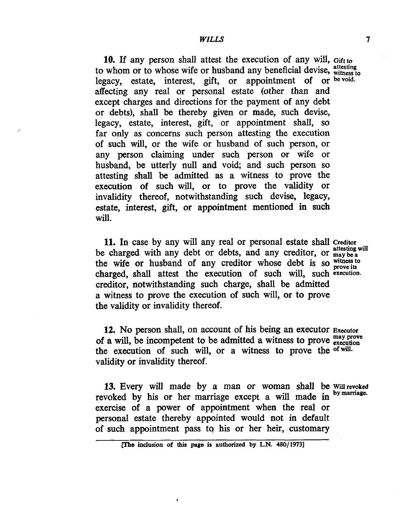10. If any person shall attest the execution of any will, Gift to to whom or to whose wife or husband any beneficial devise, witness to legacy, estate, interest, gift, or appointment of or be **void.**  affecting any real or personal estate (other than and except charges and directions for the payment of any debt or debts), shall be thereby given or made, such devise, legacy, estate, interest, gift, or appointment shall, so far only as concerns such person attesting the execution of such will, or the wife or husband of such person, or any person claiming under such person or wife or husband, be utterly null and void; and such person so attesting shall be admitted as a witness to prove the execution of such will, or to prove the validity or invalidity thereof, notwithstanding such devise, legacy, estate, interest, gift, or appointment mentioned in such Will.

11. In case by any will any real or personal estate shall **Creditor**  be charged with any debt or debts, and any creditor, or  $\frac{\text{attesting will}}{\text{may be a}}$ the wife or husband of any creditor whose debt is so witness to charged, shall attest the execution of such will, such **execution.**  creditor, notwithstanding such charge, shall be admitted a witness to prove the execution of such will, or to prove the validity or invalidity thereof.

**12.** No person shall, on account of **his** being an executor **Executor**  of a will, be incompetent to be admitted a witness to prove **execution** the execution of such will, or a witness to prove the of will. validity or invalidity thereof.

13. Every will made by a man or woman shall be will revoked revoked by his or her marriage except a will made in exercise of a power of appointment when the real or personal estate thereby appointed would not in default of such appointment pass tq his or her heir, customary

*I* 

**me inclusion of this page is authorized by L.N. 480/1973]**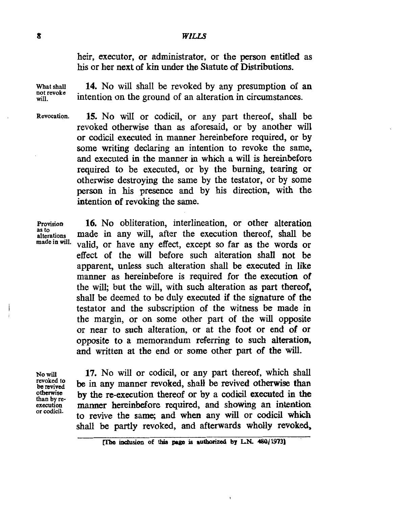heir, executor, or administrator, or the **person** entitled as his or her next of **kin under the** Statute **of** Distributions.

What shall<br>not revoke **will.** 

14. No will shall be revoked by any presumption of an intention on the ground of an alteration in circumstances.

**Revocation.** 15. No wilI or codicil, or any part thereof, shall be revoked otherwise than **as** aforesaid, or by another will or codicil executed in manner hereinbefore required, or by some writing declaring an intention to revoke the same, and executed in the manner in which a will is hereinbefore **required** to be executed, or by the burning, tearing or otherwise destroying the same by the testator, or by some **person** in **his** presence **and** by **his** direction, with the intention of revoking the same.

**as** *to* 

**Provision 16. No** obliteration, interlineation, or other alteration as to<br>alterations made in any will, after the execution thereof, shall be<br>made in will, unlid an house only effect, executing for so the words on valid, or have any effect, except so far as the words or effect of the will before such alteration shaIl not be apparent, unless such alteration shall be executed in like manner as hereinbefore is required for the execution of the will; but the will, with such alteration as part thereof, shalI be deemed to be duly executed if the signature of the testator and the subscription of the witness be made in the margin, or on some other part of the will opposite or near to such alteration, **or** at the foot or end **of** or opposite to a memorandum referring to such alteration, and written at the end or some other part of **the** will.

**No will**  be revived  $otherwise$ **execution revoked to than by reor codicil.** 

17. No will or codicil, or any part thereof, which shall **be** in any manner revoked, shall be revived otherwise **than by** the re-execution thereof or by a codicil executed in **the**  manner hereinbefore required, and showing an **intention**  to revive the same; and **when any** will or codicil which shall be partly revoked, and afterwards wholly revoked,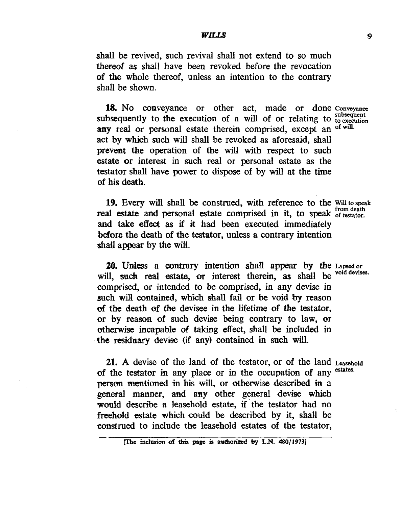shall *be* revived, such revival shall not extend to so much thereof **as** shall have been revoked before the revocation of the whole thereof, unless an intention to the contrary shall be shown.

**1%** No conveyance or other act, made or done **Conveyance**  subsequently to the execution of a will of or relating to to execution any real or personal estate therein comprised, except an <sup>of will.</sup> act **by** which *such* will shall be revoked as aforesaid, shall prevent the operation of the will with respect to such estate or interest in such real or personal estate as the testator shall have power to dispose of by will at the time of his death.

19. Every will shall be construed, with reference to the Will to speak **from death real estate and personal estate comprised in it, to speak of testator.** and take **effect** as **if** it **had** been executed immediately before the death of the testator, unless a contrary intention **shail** appear by the wili.

20. Unless a contrary intention shall appear by the Lapsed or will, such real estate, or interest therein, as shall be void devises. comprised, or intended to be comprised, in any devise in such will contained, which shall fail or be void **by** reason **of** the death of the devisee in the lifetime of the testator, or by reason **of** such devise being contrary to law, or otherwise incapable *of* taking effect, shall be included in the residuary devise (if any) contained in such will.

**21.** A devise of the land of the testator, or of the land **Leasehold estates. of** the testator in any place or in the occupation of **any**  person mentioned in his will, or otherwise described in **a**  *general* manner, **and my** other general devise which would describe a leasehold estate, if the testator had no freehold estate which could be described by it, shall be construed to include the leasehold estates of the testator,<br>
The inclusion of this page is awthorized by L.N. 480/19731

**me mclusion aZ tIris page is aw%orized** &y **L.N.** *480/1973]*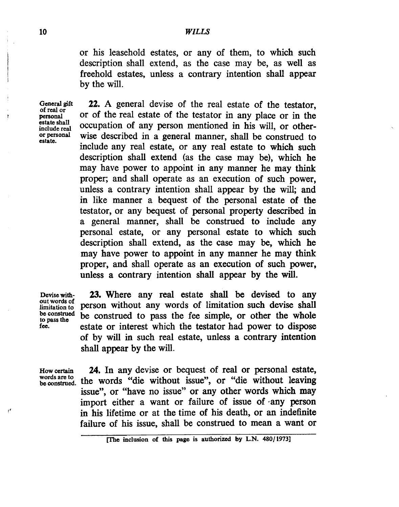or his leasehold estates, or any of them, to which such description shall extend, as the case may be, as well as freehold estates, unless a contrary intention shall appear by the will.

General gift<br>of real or personal **estate shall include real or personal estate.** 

**22.** A general devise of the real estate of the testator, or of the real estate of the testator in any place or in the occupation of any person mentioned in his will, or otherwise described in a general manner, shall be construed to include any real estate, or any real estate to which such description shall extend (as the case may be), which he may have power to appoint in any manner he may think proper; and shall operate as an execution of such power, unless a contrary intention shall appear by the will; and in like manner a bequest of the personal estate of the testator, or any bequest of personal property described in a general manner, shall be construed to include any personal estate, or any personal estate to which such description shall extend, as the case may be, which he may have power to appoint in any manner he may think proper, and shall operate as an execution of such power, unless a contrary intention shall appear by the will.

**Devise without words of limitation to be construed to pass the fee.** 

**23.** Where any real estate shall be devised to any person without any words of limitation such devise shall be construed to pass the fee simple, or other the whole estate or interest which the testator had power to dispose of by will in such real estate, unless a contrary intention shall appear by the will.

**How** certain

**I'** 

**24.** In any devise or bequest of real or personal estate, **words are to beconstrued.** the words "die without issue", or "die without leaving issue", or "have no issue" or any other words which may import either a want or failure of issue of any person in his lifetime or at the time of his death, or an indefinite failure of his issue, shall be construed to mean a want or

**<sup>[</sup>The inclusion of this page is authorized by L.N. 480/1973]**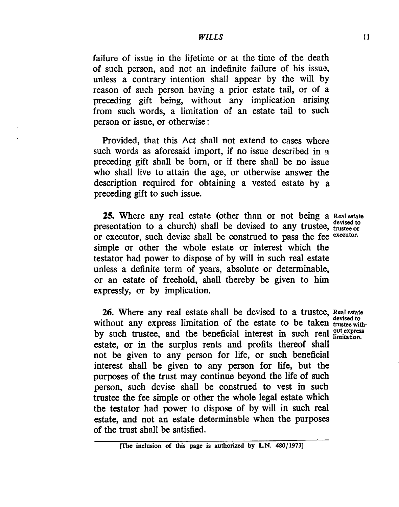failure of issue in the lifetime or at the time of the death of such person, and not an indefinite failure of his issue, unless a contrary intention shall appear by the will by reason of such person having a prior estate tail, or of a preceding gift being, without any implication arising from such words, a limitation of an estate tail to such person or issue, or otherwise :

Provided, that this Act shall not extend to cases where such words as aforesaid import, if no issue described in *3*  preceding gift shall be born, or if there shall be no issue who shall live to attain the age, or otherwise answer the description required for obtaining a vested estate by a preceding gift to such issue.

**25.** Where any real estate (other than or not being a Realestate presentation to a church) shall be devised to any trustee, trustee or or executor, such devise shall be construed to pass the fee **executor.**  simple or other the whole estate or interest which the testator had power to dispose of by **will** in such real estate unless a definite term of years, absolute or determinable, or an estate of freehold, shall thereby be given to him expressly, or by implication.

26. Where any real estate shall be devised to a trustee, Real estate without any express limitation of the estate to be taken trustee withby such trustee, and the beneficial interest in such real *out express*  $\frac{1}{\text{unitation}}$ . estate, or in the surplus rents and profits thereof shall **devised to**  not be given to any person for life, or such beneficial interest shall be given to any person for life, but the purposes of the trust may continue beyond the life of such person, such devise shall be construed to vest in such trustee the fee simple or other the whole legal estate which the testator had power to dispose of by will in such real estate, and not an estate determinable when the purposes<br>of the trust shall be satisfied.<br>The inclusion of this page is authorized by L.N. 480/19731 of the trust shall be satisfied.